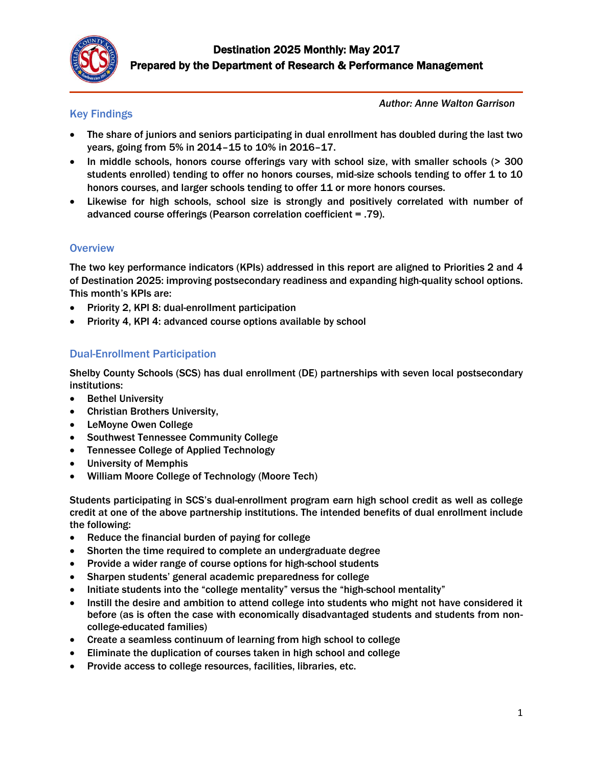

## Key Findings

*Author: Anne Walton Garrison*

- The share of juniors and seniors participating in dual enrollment has doubled during the last two years, going from 5% in 2014–15 to 10% in 2016–17.
- In middle schools, honors course offerings vary with school size, with smaller schools (> 300 students enrolled) tending to offer no honors courses, mid-size schools tending to offer 1 to 10 honors courses, and larger schools tending to offer 11 or more honors courses.
- Likewise for high schools, school size is strongly and positively correlated with number of advanced course offerings (Pearson correlation coefficient = .79).

#### **Overview**

The two key performance indicators (KPIs) addressed in this report are aligned to Priorities 2 and 4 of Destination 2025: improving postsecondary readiness and expanding high-quality school options. This month's KPIs are:

- Priority 2, KPI 8: dual-enrollment participation
- Priority 4, KPI 4: advanced course options available by school

## Dual-Enrollment Participation

Shelby County Schools (SCS) has dual enrollment (DE) partnerships with seven local postsecondary institutions:

- Bethel University
- Christian Brothers University,
- LeMoyne Owen College
- Southwest Tennessee Community College
- Tennessee College of Applied Technology
- University of Memphis
- William Moore College of Technology (Moore Tech)

Students participating in SCS's dual-enrollment program earn high school credit as well as college credit at one of the above partnership institutions. The intended benefits of dual enrollment include the following:

- Reduce the financial burden of paying for college
- Shorten the time required to complete an undergraduate degree
- Provide a wider range of course options for high-school students
- Sharpen students' general academic preparedness for college
- Initiate students into the "college mentality" versus the "high-school mentality"
- Instill the desire and ambition to attend college into students who might not have considered it before (as is often the case with economically disadvantaged students and students from noncollege-educated families)
- Create a seamless continuum of learning from high school to college
- Eliminate the duplication of courses taken in high school and college
- Provide access to college resources, facilities, libraries, etc.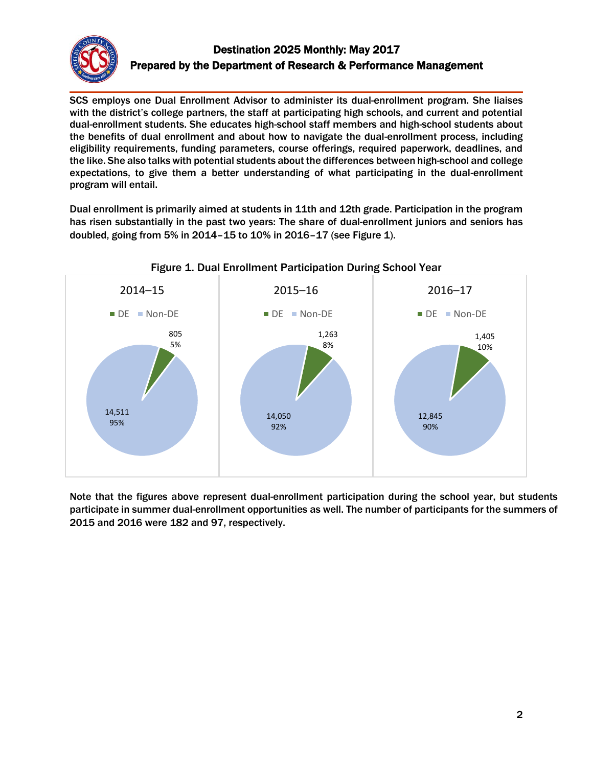

# Destination 2025 Monthly: May 2017 Prepared by the Department of Research & Performance Management

SCS employs one Dual Enrollment Advisor to administer its dual-enrollment program. She liaises with the district's college partners, the staff at participating high schools, and current and potential dual-enrollment students. She educates high-school staff members and high-school students about the benefits of dual enrollment and about how to navigate the dual-enrollment process, including eligibility requirements, funding parameters, course offerings, required paperwork, deadlines, and the like. She also talks with potential students about the differences between high-school and college expectations, to give them a better understanding of what participating in the dual-enrollment program will entail.

Dual enrollment is primarily aimed at students in 11th and 12th grade. Participation in the program has risen substantially in the past two years: The share of dual-enrollment juniors and seniors has doubled, going from 5% in 2014–15 to 10% in 2016–17 (see Figure 1).



Note that the figures above represent dual-enrollment participation during the school year, but students participate in summer dual-enrollment opportunities as well. The number of participants for the summers of 2015 and 2016 were 182 and 97, respectively.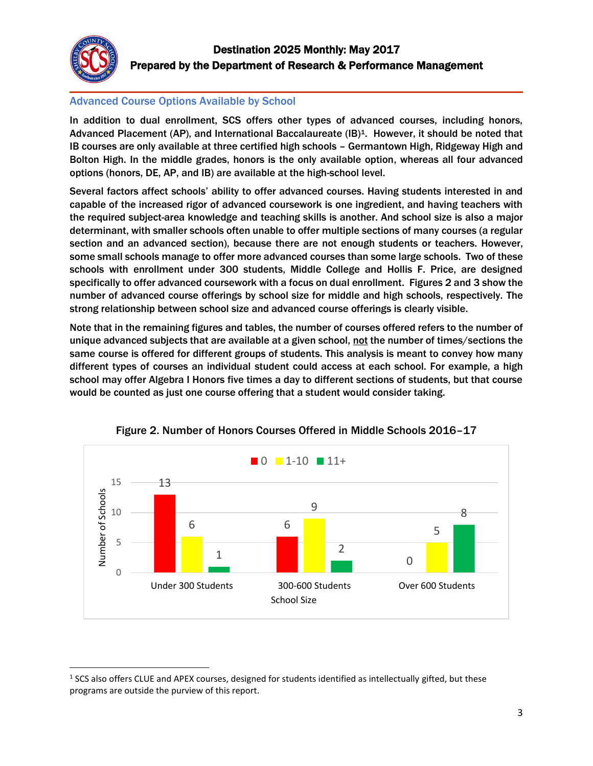

#### Advanced Course Options Available by School

In addition to dual enrollment, SCS offers other types of advanced courses, including honors, Advanced Placement (AP), and International Baccalaureate (IB)<sup>1</sup>. However, it should be noted that IB courses are only available at three certified high schools – Germantown High, Ridgeway High and Bolton High. In the middle grades, honors is the only available option, whereas all four advanced options (honors, DE, AP, and IB) are available at the high-school level.

Several factors affect schools' ability to offer advanced courses. Having students interested in and capable of the increased rigor of advanced coursework is one ingredient, and having teachers with the required subject-area knowledge and teaching skills is another. And school size is also a major determinant, with smaller schools often unable to offer multiple sections of many courses (a regular section and an advanced section), because there are not enough students or teachers. However, some small schools manage to offer more advanced courses than some large schools. Two of these schools with enrollment under 300 students, Middle College and Hollis F. Price, are designed specifically to offer advanced coursework with a focus on dual enrollment. Figures 2 and 3 show the number of advanced course offerings by school size for middle and high schools, respectively. The strong relationship between school size and advanced course offerings is clearly visible.

Note that in the remaining figures and tables, the number of courses offered refers to the number of unique advanced subjects that are available at a given school, not the number of times/sections the same course is offered for different groups of students. This analysis is meant to convey how many different types of courses an individual student could access at each school. For example, a high school may offer Algebra I Honors five times a day to different sections of students, but that course would be counted as just one course offering that a student would consider taking.





l  $<sup>1</sup>$  SCS also offers CLUE and APEX courses, designed for students identified as intellectually gifted, but these</sup> programs are outside the purview of this report.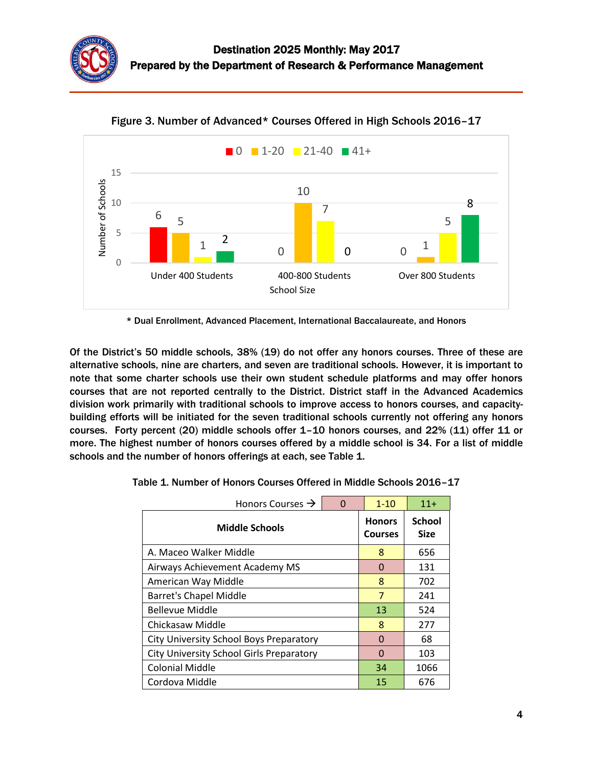



Figure 3. Number of Advanced\* Courses Offered in High Schools 2016–17

\* Dual Enrollment, Advanced Placement, International Baccalaureate, and Honors

Of the District's 50 middle schools, 38% (19) do not offer any honors courses. Three of these are alternative schools, nine are charters, and seven are traditional schools. However, it is important to note that some charter schools use their own student schedule platforms and may offer honors courses that are not reported centrally to the District. District staff in the Advanced Academics division work primarily with traditional schools to improve access to honors courses, and capacitybuilding efforts will be initiated for the seven traditional schools currently not offering any honors courses. Forty percent (20) middle schools offer 1–10 honors courses, and 22% (11) offer 11 or more. The highest number of honors courses offered by a middle school is 34. For a list of middle schools and the number of honors offerings at each, see Table 1.

| Honors Courses $\rightarrow$<br>$\Omega$ |   | $1 - 10$                        | $11+$                        |  |  |
|------------------------------------------|---|---------------------------------|------------------------------|--|--|
| <b>Middle Schools</b>                    |   | <b>Honors</b><br><b>Courses</b> | <b>School</b><br><b>Size</b> |  |  |
| A. Maceo Walker Middle                   |   | 8                               | 656                          |  |  |
| Airways Achievement Academy MS           | 0 | 131                             |                              |  |  |
| American Way Middle                      |   | 8                               | 702                          |  |  |
| <b>Barret's Chapel Middle</b>            |   | $\overline{7}$                  | 241                          |  |  |
| <b>Bellevue Middle</b>                   |   | 13                              | 524                          |  |  |
| Chickasaw Middle                         |   | 8                               | 277                          |  |  |
| City University School Boys Preparatory  |   | O                               | 68                           |  |  |
| City University School Girls Preparatory |   | O                               | 103                          |  |  |
| <b>Colonial Middle</b>                   |   | 34                              | 1066                         |  |  |
| Cordova Middle                           |   | 15                              | 676                          |  |  |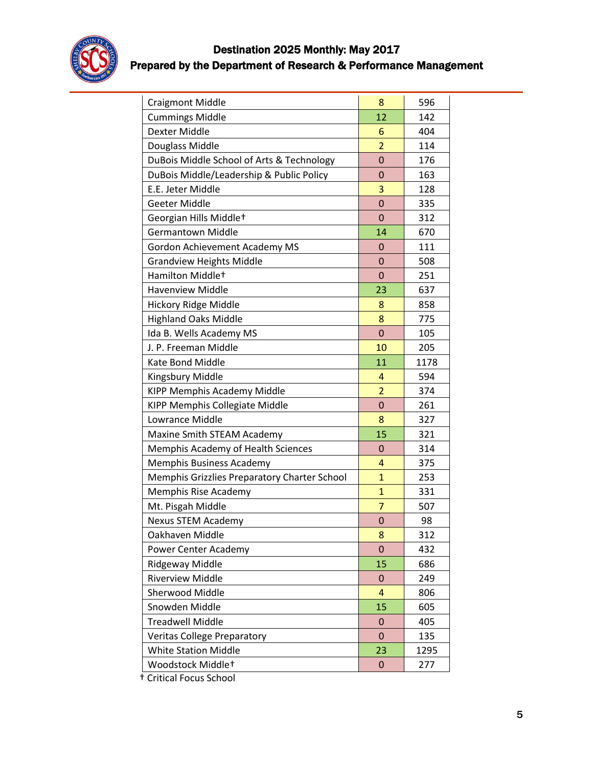

# Destination 2025 Monthly: May 2017 Prepared by the Department of Research & Performance Management

| <b>Craigmont Middle</b>                      | 8              | 596  |  |
|----------------------------------------------|----------------|------|--|
| <b>Cummings Middle</b>                       | 12             | 142  |  |
| Dexter Middle                                | 6              | 404  |  |
| Douglass Middle                              | $\overline{2}$ | 114  |  |
| DuBois Middle School of Arts & Technology    | 0<br>176       |      |  |
| DuBois Middle/Leadership & Public Policy     | $\overline{0}$ | 163  |  |
| E.E. Jeter Middle                            | 3              | 128  |  |
| Geeter Middle                                | $\overline{0}$ | 335  |  |
| Georgian Hills Middlet                       | $\mathbf 0$    | 312  |  |
| <b>Germantown Middle</b>                     | 14             | 670  |  |
| Gordon Achievement Academy MS                | $\mathbf 0$    | 111  |  |
| <b>Grandview Heights Middle</b>              | $\mathbf 0$    | 508  |  |
| Hamilton Middlet                             | $\mathbf 0$    | 251  |  |
| <b>Havenview Middle</b>                      | 23             | 637  |  |
| Hickory Ridge Middle                         | 8              | 858  |  |
| <b>Highland Oaks Middle</b>                  | 8              | 775  |  |
| Ida B. Wells Academy MS                      | $\overline{0}$ | 105  |  |
| J. P. Freeman Middle                         | 10             | 205  |  |
| Kate Bond Middle                             | 11             | 1178 |  |
| Kingsbury Middle                             | $\overline{4}$ | 594  |  |
| KIPP Memphis Academy Middle                  | $\overline{2}$ | 374  |  |
| KIPP Memphis Collegiate Middle               | $\mathbf 0$    | 261  |  |
| Lowrance Middle                              | 8              | 327  |  |
| Maxine Smith STEAM Academy                   | 15             | 321  |  |
| Memphis Academy of Health Sciences           | $\overline{0}$ | 314  |  |
| Memphis Business Academy                     | 4              | 375  |  |
| Memphis Grizzlies Preparatory Charter School | $\mathbf{1}$   | 253  |  |
| Memphis Rise Academy                         | $\mathbf{1}$   | 331  |  |
| Mt. Pisgah Middle                            | $\overline{7}$ | 507  |  |
| <b>Nexus STEM Academy</b>                    | 0              | 98   |  |
| Oakhaven Middle                              | 8              | 312  |  |
| Power Center Academy                         | 0              | 432  |  |
| Ridgeway Middle                              | 15             | 686  |  |
| <b>Riverview Middle</b>                      | $\mathbf 0$    | 249  |  |
| <b>Sherwood Middle</b>                       | $\overline{4}$ | 806  |  |
| Snowden Middle                               | 15             | 605  |  |
| <b>Treadwell Middle</b>                      | $\mathbf 0$    | 405  |  |
| <b>Veritas College Preparatory</b>           | $\mathbf 0$    | 135  |  |
| <b>White Station Middle</b>                  | 23             | 1295 |  |
| Woodstock Middle+                            | $\mathbf 0$    | 277  |  |

† Critical Focus School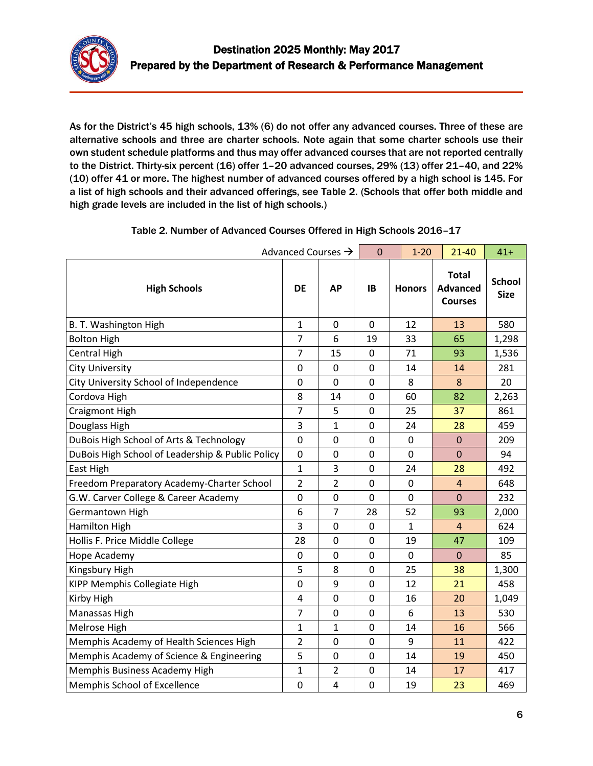

As for the District's 45 high schools, 13% (6) do not offer any advanced courses. Three of these are alternative schools and three are charter schools. Note again that some charter schools use their own student schedule platforms and thus may offer advanced courses that are not reported centrally to the District. Thirty-six percent (16) offer 1–20 advanced courses, 29% (13) offer 21–40, and 22% (10) offer 41 or more. The highest number of advanced courses offered by a high school is 145. For a list of high schools and their advanced offerings, see Table 2. (Schools that offer both middle and high grade levels are included in the list of high schools.)

|                                                  | Advanced Courses $\rightarrow$ |                | $\mathbf 0$    | $1 - 20$      | $21 - 40$                                         | $41+$                        |
|--------------------------------------------------|--------------------------------|----------------|----------------|---------------|---------------------------------------------------|------------------------------|
| <b>High Schools</b>                              | <b>DE</b>                      | <b>AP</b>      | <b>IB</b>      | <b>Honors</b> | <b>Total</b><br><b>Advanced</b><br><b>Courses</b> | <b>School</b><br><b>Size</b> |
| B. T. Washington High                            | $\mathbf{1}$                   | 0              | 0              | 12            | 13                                                | 580                          |
| <b>Bolton High</b>                               | $\overline{7}$                 | 6              | 19             | 33            | 65                                                | 1,298                        |
| <b>Central High</b>                              | $\overline{7}$                 | 15             | $\mathbf 0$    | 71            | 93                                                | 1,536                        |
| <b>City University</b>                           | 0                              | $\pmb{0}$      | 0              | 14            | 14                                                | 281                          |
| City University School of Independence           | $\pmb{0}$                      | $\mathbf 0$    | 0              | 8             | 8                                                 | 20                           |
| Cordova High                                     | 8                              | 14             | $\mathbf 0$    | 60            | 82                                                | 2,263                        |
| Craigmont High                                   | $\overline{7}$                 | 5              | 0              | 25            | 37                                                | 861                          |
| Douglass High                                    | 3                              | 1              | $\mathbf 0$    | 24            | 28                                                | 459                          |
| DuBois High School of Arts & Technology          | $\mathbf 0$                    | $\mathbf 0$    | 0              | $\mathbf 0$   | $\overline{0}$                                    | 209                          |
| DuBois High School of Leadership & Public Policy | 0                              | $\mathbf 0$    | $\overline{0}$ | 0             | $\overline{0}$                                    | 94                           |
| East High                                        | $\mathbf{1}$                   | 3              | 0              | 24            | 28                                                | 492                          |
| Freedom Preparatory Academy-Charter School       | $\overline{2}$                 | $\overline{2}$ | 0              | 0             | $\overline{4}$                                    | 648                          |
| G.W. Carver College & Career Academy             | 0                              | $\mathbf 0$    | 0              | 0             | $\mathbf{0}$                                      | 232                          |
| Germantown High                                  | 6                              | $\overline{7}$ | 28             | 52            | 93                                                | 2,000                        |
| Hamilton High                                    | 3                              | $\mathbf 0$    | $\mathbf 0$    | $\mathbf{1}$  | $\overline{4}$                                    | 624                          |
| Hollis F. Price Middle College                   | 28                             | $\mathbf 0$    | 0              | 19            | 47                                                | 109                          |
| Hope Academy                                     | $\mathbf 0$                    | 0              | 0              | 0             | $\mathbf 0$                                       | 85                           |
| Kingsbury High                                   | 5                              | 8              | 0              | 25            | 38                                                | 1,300                        |
| KIPP Memphis Collegiate High                     | 0                              | 9              | 0              | 12            | 21                                                | 458                          |
| Kirby High                                       | 4                              | 0              | 0              | 16            | 20                                                | 1,049                        |
| Manassas High                                    | $\overline{7}$                 | 0              | 0              | 6             | 13                                                | 530                          |
| Melrose High                                     | $\mathbf 1$                    | 1              | $\mathbf 0$    | 14            | 16                                                | 566                          |
| Memphis Academy of Health Sciences High          | $\overline{2}$                 | 0              | 0              | 9             | 11                                                | 422                          |
| Memphis Academy of Science & Engineering         | 5                              | $\mathbf 0$    | 0              | 14            | 19                                                | 450                          |
| Memphis Business Academy High                    | $\mathbf{1}$                   | $\overline{2}$ | $\mathbf 0$    | 14            | 17                                                | 417                          |
| Memphis School of Excellence                     | 0                              | 4              | $\overline{0}$ | 19            | 23                                                | 469                          |

#### Table 2. Number of Advanced Courses Offered in High Schools 2016–17